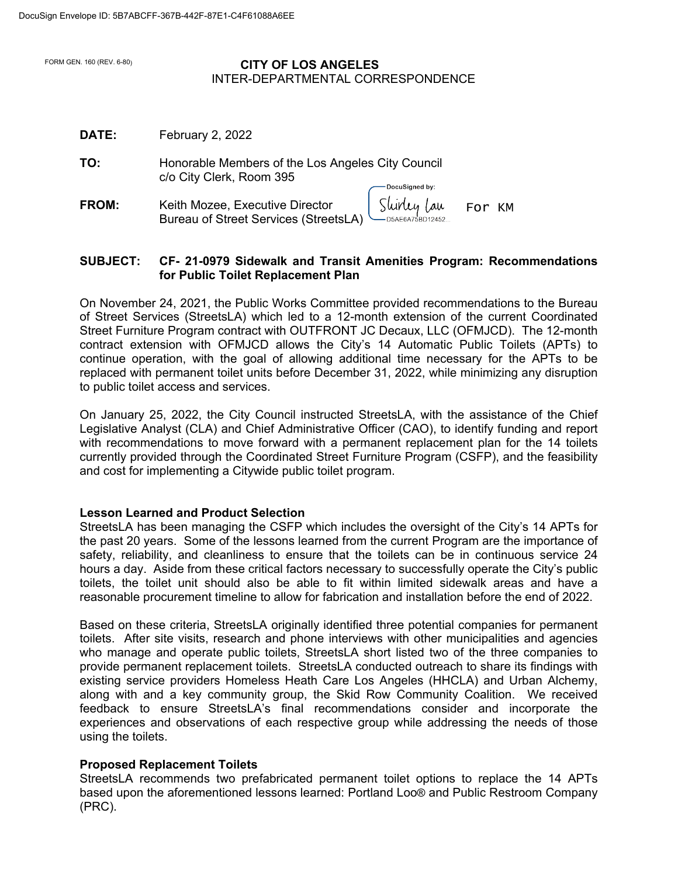## FORM GEN. 160 (REV. 6-80) **CITY OF LOS ANGELES** INTER-DEPARTMENTAL CORRESPONDENCE

| <b>DATE:</b> | February 2, 2022                                                                                  |
|--------------|---------------------------------------------------------------------------------------------------|
| TO:          | Honorable Members of the Los Angeles City Council<br>c/o City Clerk, Room 395<br>DocuSigned by:   |
| FROM:        | Sluidey Lau<br>Keith Mozee, Executive Director<br>For KM<br>Bureau of Street Services (StreetsLA) |

## **SUBJECT: CF- 21-0979 Sidewalk and Transit Amenities Program: Recommendations for Public Toilet Replacement Plan**

On November 24, 2021, the Public Works Committee provided recommendations to the Bureau of Street Services (StreetsLA) which led to a 12-month extension of the current Coordinated Street Furniture Program contract with OUTFRONT JC Decaux, LLC (OFMJCD). The 12-month contract extension with OFMJCD allows the City's 14 Automatic Public Toilets (APTs) to continue operation, with the goal of allowing additional time necessary for the APTs to be replaced with permanent toilet units before December 31, 2022, while minimizing any disruption to public toilet access and services.

On January 25, 2022, the City Council instructed StreetsLA, with the assistance of the Chief Legislative Analyst (CLA) and Chief Administrative Officer (CAO), to identify funding and report with recommendations to move forward with a permanent replacement plan for the 14 toilets currently provided through the Coordinated Street Furniture Program (CSFP), and the feasibility and cost for implementing a Citywide public toilet program.

### **Lesson Learned and Product Selection**

StreetsLA has been managing the CSFP which includes the oversight of the City's 14 APTs for the past 20 years. Some of the lessons learned from the current Program are the importance of safety, reliability, and cleanliness to ensure that the toilets can be in continuous service 24 hours a day. Aside from these critical factors necessary to successfully operate the City's public toilets, the toilet unit should also be able to fit within limited sidewalk areas and have a reasonable procurement timeline to allow for fabrication and installation before the end of 2022.

Based on these criteria, StreetsLA originally identified three potential companies for permanent toilets. After site visits, research and phone interviews with other municipalities and agencies who manage and operate public toilets, StreetsLA short listed two of the three companies to provide permanent replacement toilets. StreetsLA conducted outreach to share its findings with existing service providers Homeless Heath Care Los Angeles (HHCLA) and Urban Alchemy, along with and a key community group, the Skid Row Community Coalition. We received feedback to ensure StreetsLA's final recommendations consider and incorporate the experiences and observations of each respective group while addressing the needs of those using the toilets.

# **Proposed Replacement Toilets**

StreetsLA recommends two prefabricated permanent toilet options to replace the 14 APTs based upon the aforementioned lessons learned: Portland Loo® and Public Restroom Company (PRC).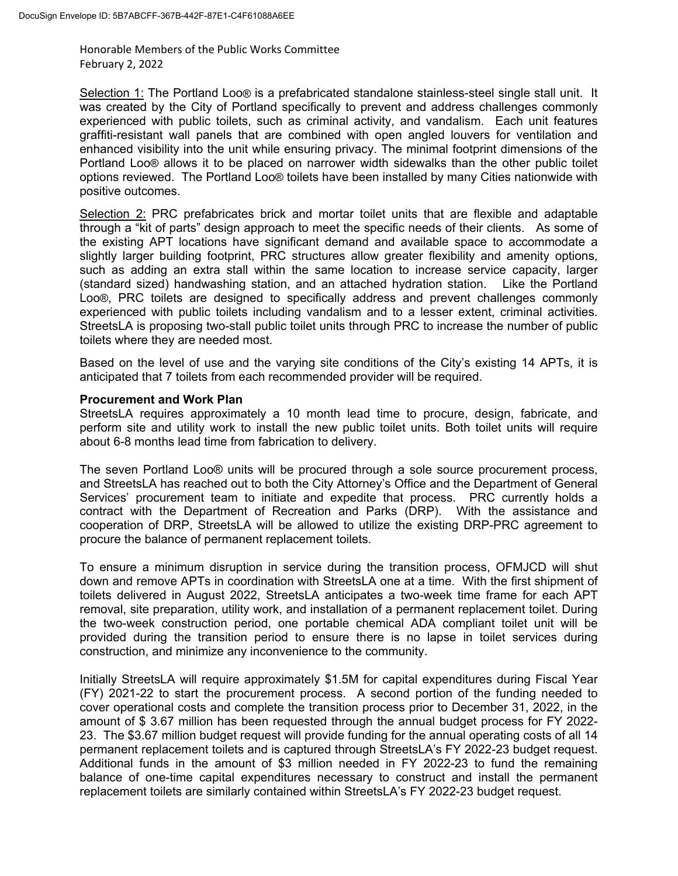Selection 1: The Portland Loo® is a prefabricated standalone stainless-steel single stall unit. It was created by the City of Portland specifically to prevent and address challenges commonly experienced with public toilets, such as criminal activity, and vandalism. Each unit features graffiti-resistant wall panels that are combined with open angled louvers for ventilation and enhanced visibility into the unit while ensuring privacy. The minimal footprint dimensions of the Portland Loo® allows it to be placed on narrower width sidewalks than the other public toilet options reviewed. The Portland Loo® toilets have been installed by many Cities nationwide with positive outcomes.

Selection 2: PRC prefabricates brick and mortar toilet units that are flexible and adaptable through a "kit of parts" design approach to meet the specific needs of their clients. As some of the existing APT locations have significant demand and available space to accommodate a slightly larger building footprint, PRC structures allow greater flexibility and amenity options, such as adding an extra stall within the same location to increase service capacity, larger (standard sized) handwashing station, and an attached hydration station. Like the Portland Loo®, PRC toilets are designed to specifically address and prevent challenges commonly experienced with public toilets including vandalism and to a lesser extent, criminal activities. StreetsLA is proposing two-stall public toilet units through PRC to increase the number of public toilets where they are needed most.

Based on the level of use and the varying site conditions of the City's existing 14 APTs, it is anticipated that 7 toilets from each recommended provider will be required.

#### **Procurement and Work Plan**

StreetsLA requires approximately a 10 month lead time to procure, design, fabricate, and perform site and utility work to install the new public toilet units. Both toilet units will require about 6-8 months lead time from fabrication to delivery.

The seven Portland Loo® units will be procured through a sole source procurement process, and StreetsLA has reached out to both the City Attorney's Office and the Department of General Services' procurement team to initiate and expedite that process. PRC currently holds a contract with the Department of Recreation and Parks (DRP). With the assistance and cooperation of DRP, StreetsLA will be allowed to utilize the existing DRP-PRC agreement to procure the balance of permanent replacement toilets.

To ensure a minimum disruption in service during the transition process, OFMJCD will shut down and remove APTs in coordination with StreetsLA one at a time. With the first shipment of toilets delivered in August 2022, StreetsLA anticipates a two-week time frame for each APT removal, site preparation, utility work, and installation of a permanent replacement toilet. During the two-week construction period, one portable chemical ADA compliant toilet unit will be provided during the transition period to ensure there is no lapse in toilet services during construction, and minimize any inconvenience to the community.

Initially StreetsLA will require approximately \$1.5M for capital expenditures during Fiscal Year (FY) 2021-22 to start the procurement process. A second portion of the funding needed to cover operational costs and complete the transition process prior to December 31, 2022, in the amount of \$ 3.67 million has been requested through the annual budget process for FY 2022- 23. The \$3.67 million budget request will provide funding for the annual operating costs of all 14 permanent replacement toilets and is captured through StreetsLA's FY 2022-23 budget request. Additional funds in the amount of \$3 million needed in FY 2022-23 to fund the remaining balance of one-time capital expenditures necessary to construct and install the permanent replacement toilets are similarly contained within StreetsLA's FY 2022-23 budget request.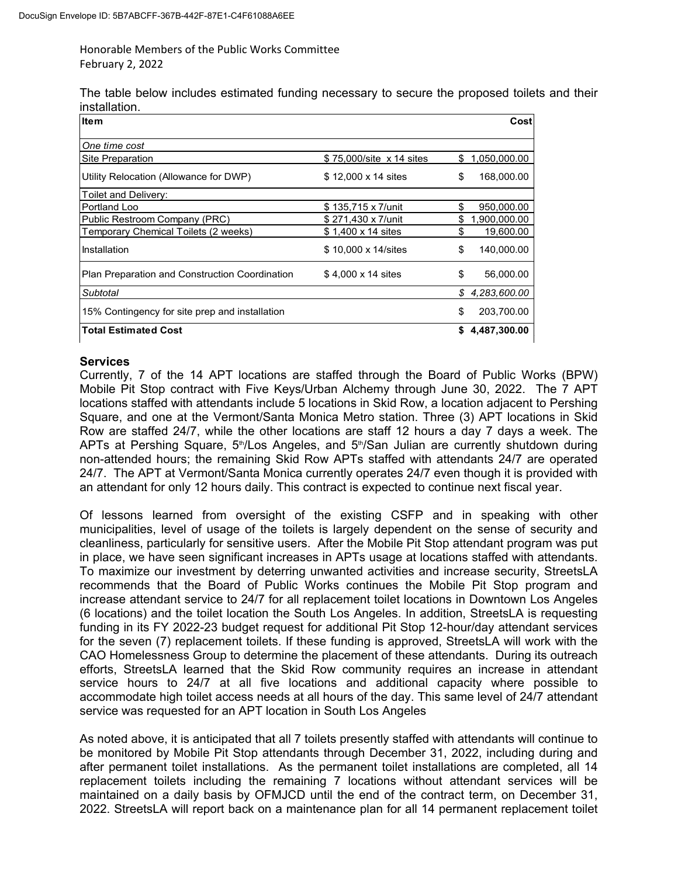The table below includes estimated funding necessary to secure the proposed toilets and their installation.

| <b>Item</b>                                    |                          |    | Cost         |
|------------------------------------------------|--------------------------|----|--------------|
| One time cost                                  |                          |    |              |
| Site Preparation                               | \$75,000/site x 14 sites | \$ | 1,050,000.00 |
| Utility Relocation (Allowance for DWP)         | \$12,000 x 14 sites      | \$ | 168,000.00   |
| Toilet and Delivery:                           |                          |    |              |
| Portland Loo                                   | \$135,715 x 7/unit       | \$ | 950,000.00   |
| Public Restroom Company (PRC)                  | \$271,430 x 7/unit       | S  | 1,900,000.00 |
| Temporary Chemical Toilets (2 weeks)           | \$1,400 x 14 sites       | \$ | 19,600.00    |
| Installation                                   | \$10,000 x 14/sites      | \$ | 140,000.00   |
| Plan Preparation and Construction Coordination | \$4,000 x 14 sites       | \$ | 56,000.00    |
| Subtotal                                       |                          | \$ | 4,283,600.00 |
| 15% Contingency for site prep and installation |                          | \$ | 203,700.00   |
| <b>Total Estimated Cost</b>                    |                          | \$ | 4,487,300.00 |

# **Services**

Currently, 7 of the 14 APT locations are staffed through the Board of Public Works (BPW) Mobile Pit Stop contract with Five Keys/Urban Alchemy through June 30, 2022. The 7 APT locations staffed with attendants include 5 locations in Skid Row, a location adjacent to Pershing Square, and one at the Vermont/Santa Monica Metro station. Three (3) APT locations in Skid Row are staffed 24/7, while the other locations are staff 12 hours a day 7 days a week. The APTs at Pershing Square, 5<sup>th</sup>/Los Angeles, and 5<sup>th</sup>/San Julian are currently shutdown during non-attended hours; the remaining Skid Row APTs staffed with attendants 24/7 are operated 24/7. The APT at Vermont/Santa Monica currently operates 24/7 even though it is provided with

an attendant for only 12 hours daily. This contract is expected to continue next fiscal year. Of lessons learned from oversight of the existing CSFP and in speaking with other municipalities, level of usage of the toilets is largely dependent on the sense of security and cleanliness, particularly for sensitive users. After the Mobile Pit Stop attendant program was put in place, we have seen significant increases in APTs usage at locations staffed with attendants. To maximize our investment by deterring unwanted activities and increase security, StreetsLA recommends that the Board of Public Works continues the Mobile Pit Stop program and increase attendant service to 24/7 for all replacement toilet locations in Downtown Los Angeles (6 locations) and the toilet location the South Los Angeles. In addition, StreetsLA is requesting funding in its FY 2022-23 budget request for additional Pit Stop 12-hour/day attendant services for the seven (7) replacement toilets. If these funding is approved, StreetsLA will work with the CAO Homelessness Group to determine the placement of these attendants. During its outreach efforts, StreetsLA learned that the Skid Row community requires an increase in attendant service hours to 24/7 at all five locations and additional capacity where possible to accommodate high toilet access needs at all hours of the day. This same level of 24/7 attendant service was requested for an APT location in South Los Angeles

As noted above, it is anticipated that all 7 toilets presently staffed with attendants will continue to be monitored by Mobile Pit Stop attendants through December 31, 2022, including during and after permanent toilet installations. As the permanent toilet installations are completed, all 14 replacement toilets including the remaining 7 locations without attendant services will be maintained on a daily basis by OFMJCD until the end of the contract term, on December 31, 2022. StreetsLA will report back on a maintenance plan for all 14 permanent replacement toilet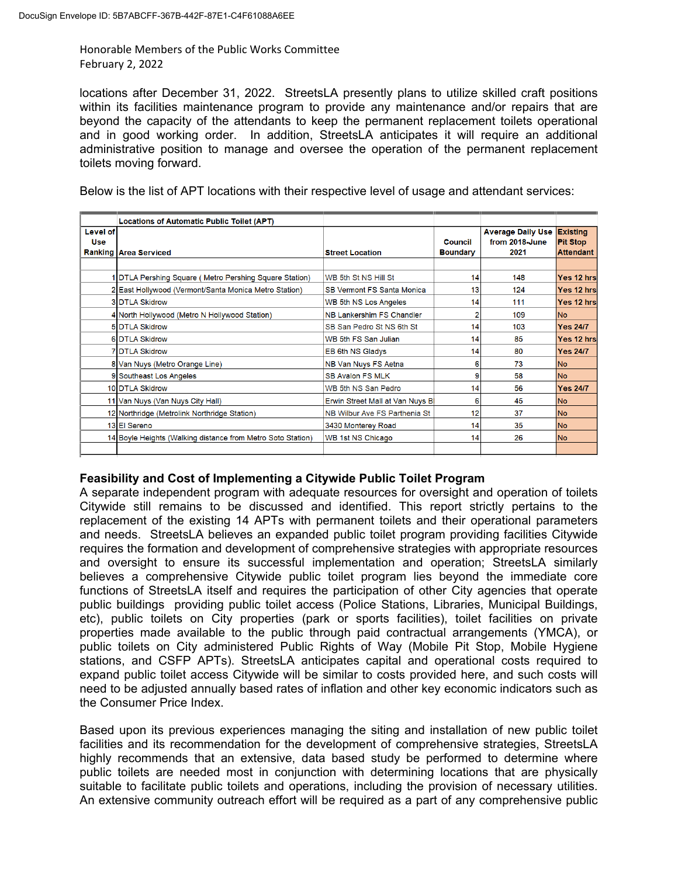locations after December 31, 2022. StreetsLA presently plans to utilize skilled craft positions within its facilities maintenance program to provide any maintenance and/or repairs that are beyond the capacity of the attendants to keep the permanent replacement toilets operational and in good working order. In addition, StreetsLA anticipates it will require an additional administrative position to manage and oversee the operation of the permanent replacement toilets moving forward.

Below is the list of APT locations with their respective level of usage and attendant services:

|                               | <b>Locations of Automatic Public Toilet (APT)</b>           |                                    |                            |                                                    |                                                        |
|-------------------------------|-------------------------------------------------------------|------------------------------------|----------------------------|----------------------------------------------------|--------------------------------------------------------|
| <b>Level of</b><br><b>Use</b> | <b>Ranking Area Serviced</b>                                | <b>Street Location</b>             | Council<br><b>Boundary</b> | <b>Average Daily Use</b><br>from 2018-June<br>2021 | <b>Existing</b><br><b>Pit Stop</b><br><b>Attendant</b> |
|                               |                                                             |                                    |                            |                                                    |                                                        |
|                               | DTLA Pershing Square (Metro Pershing Square Station)        | WB 5th St NS Hill St               | 14                         | 148                                                | Yes 12 hrs                                             |
|                               | 2 East Hollywood (Vermont/Santa Monica Metro Station)       | <b>SB Vermont FS Santa Monical</b> | 13                         | 124                                                | Yes 12 hrs                                             |
|                               | <b>3IDTLA Skidrow</b>                                       | WB 5th NS Los Angeles              | 14                         | 111                                                | Yes 12 hrs                                             |
|                               | 4 North Hollywood (Metro N Hollywood Station)               | <b>NB Lankershim FS Chandler</b>   |                            | 109                                                | <b>No</b>                                              |
|                               | <b>5IDTLA Skidrow</b>                                       | SB San Pedro St NS 6th St          | 14                         | 103                                                | <b>Yes 24/7</b>                                        |
|                               | <b>6IDTLA Skidrow</b>                                       | WB 5th FS San Julian               | 14                         | 85                                                 | Yes 12 hrs                                             |
|                               | <b>7IDTLA Skidrow</b>                                       | EB 6th NS Gladys                   | 14                         | 80                                                 | <b>Yes 24/7</b>                                        |
|                               | 8 Van Nuys (Metro Orange Line)                              | NB Van Nuys FS Aetna               | 6                          | 73                                                 | <b>No</b>                                              |
|                               | 9 Southeast Los Angeles                                     | <b>SB Avalon FS MLK</b>            | 9                          | 58                                                 | <b>No</b>                                              |
|                               | 10 DTLA Skidrow                                             | WB 5th NS San Pedro                | 14                         | 56                                                 | <b>Yes 24/7</b>                                        |
|                               | 11 Van Nuys (Van Nuys City Hall)                            | Erwin Street Mall at Van Nuys B    | 6                          | 45                                                 | <b>No</b>                                              |
|                               | 12 Northridge (Metrolink Northridge Station)                | NB Wilbur Ave FS Parthenia St      | 12                         | 37                                                 | <b>No</b>                                              |
|                               | 13 El Sereno                                                | 3430 Monterey Road                 | 14                         | 35                                                 | <b>No</b>                                              |
|                               | 14 Boyle Heights (Walking distance from Metro Soto Station) | <b>WB 1st NS Chicago</b>           | 14                         | 26                                                 | <b>No</b>                                              |
|                               |                                                             |                                    |                            |                                                    |                                                        |

### **Feasibility and Cost of Implementing a Citywide Public Toilet Program**

A separate independent program with adequate resources for oversight and operation of toilets Citywide still remains to be discussed and identified. This report strictly pertains to the replacement of the existing 14 APTs with permanent toilets and their operational parameters and needs. StreetsLA believes an expanded public toilet program providing facilities Citywide requires the formation and development of comprehensive strategies with appropriate resources and oversight to ensure its successful implementation and operation; StreetsLA similarly believes a comprehensive Citywide public toilet program lies beyond the immediate core functions of StreetsLA itself and requires the participation of other City agencies that operate public buildings providing public toilet access (Police Stations, Libraries, Municipal Buildings, etc), public toilets on City properties (park or sports facilities), toilet facilities on private properties made available to the public through paid contractual arrangements (YMCA), or public toilets on City administered Public Rights of Way (Mobile Pit Stop, Mobile Hygiene stations, and CSFP APTs). StreetsLA anticipates capital and operational costs required to expand public toilet access Citywide will be similar to costs provided here, and such costs will need to be adjusted annually based rates of inflation and other key economic indicators such as the Consumer Price Index.

Based upon its previous experiences managing the siting and installation of new public toilet facilities and its recommendation for the development of comprehensive strategies, StreetsLA highly recommends that an extensive, data based study be performed to determine where public toilets are needed most in conjunction with determining locations that are physically suitable to facilitate public toilets and operations, including the provision of necessary utilities. An extensive community outreach effort will be required as a part of any comprehensive public